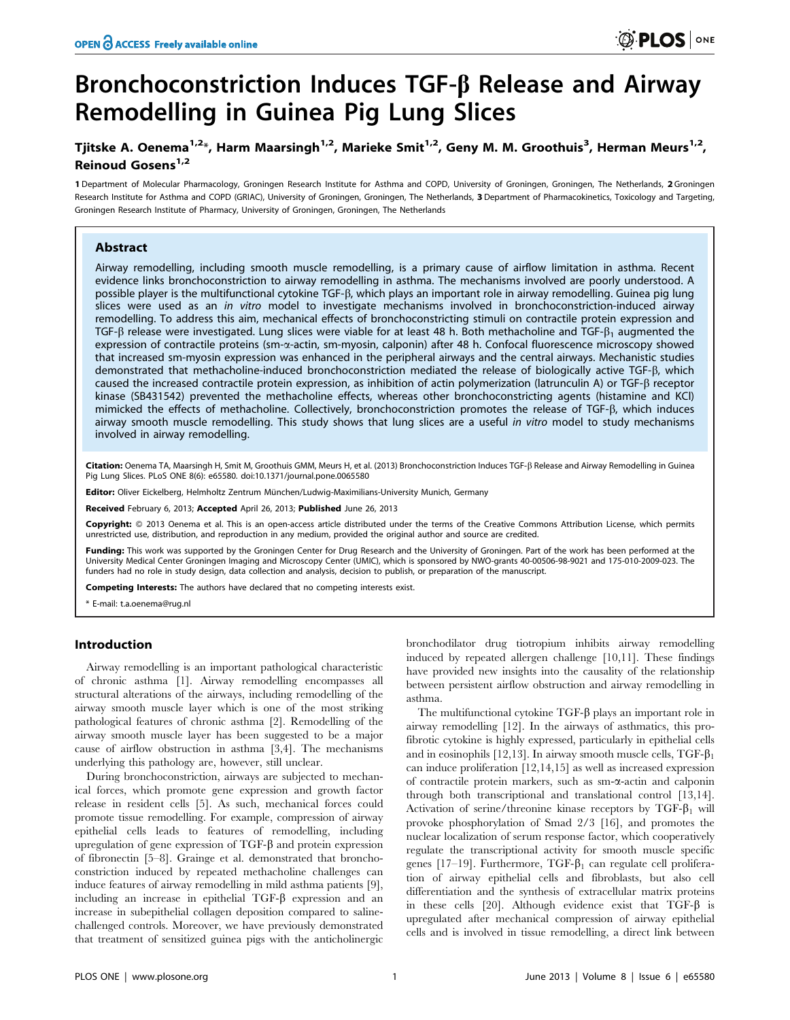# Bronchoconstriction Induces TGF-b Release and Airway Remodelling in Guinea Pig Lung Slices

## Tjitske A. Oenema $^{1,2_\ast}$ , Harm Maarsingh $^{1,2}$ , Marieke Smit $^{1,2}$ , Geny M. M. Groothuis $^3$ , Herman Meurs $^{1,2}$ , Reinoud Gosens $1,2$

1 Department of Molecular Pharmacology, Groningen Research Institute for Asthma and COPD, University of Groningen, Groningen, The Netherlands, 2 Groningen Research Institute for Asthma and COPD (GRIAC), University of Groningen, Groningen, The Netherlands, 3 Department of Pharmacokinetics, Toxicology and Targeting, Groningen Research Institute of Pharmacy, University of Groningen, Groningen, The Netherlands

## Abstract

Airway remodelling, including smooth muscle remodelling, is a primary cause of airflow limitation in asthma. Recent evidence links bronchoconstriction to airway remodelling in asthma. The mechanisms involved are poorly understood. A possible player is the multifunctional cytokine TGF- $\beta$ , which plays an important role in airway remodelling. Guinea pig lung slices were used as an in vitro model to investigate mechanisms involved in bronchoconstriction-induced airway remodelling. To address this aim, mechanical effects of bronchoconstricting stimuli on contractile protein expression and TGF- $\beta$  release were investigated. Lung slices were viable for at least 48 h. Both methacholine and TGF- $\beta_1$  augmented the expression of contractile proteins (sm-a-actin, sm-myosin, calponin) after 48 h. Confocal fluorescence microscopy showed that increased sm-myosin expression was enhanced in the peripheral airways and the central airways. Mechanistic studies demonstrated that methacholine-induced bronchoconstriction mediated the release of biologically active TGF-b, which caused the increased contractile protein expression, as inhibition of actin polymerization (latrunculin A) or TGF- $\beta$  receptor kinase (SB431542) prevented the methacholine effects, whereas other bronchoconstricting agents (histamine and KCl) mimicked the effects of methacholine. Collectively, bronchoconstriction promotes the release of TGF- $\beta$ , which induces airway smooth muscle remodelling. This study shows that lung slices are a useful in vitro model to study mechanisms involved in airway remodelling.

Citation: Oenema TA, Maarsingh H, Smit M, Groothuis GMM, Meurs H, et al. (2013) Bronchoconstriction Induces TGF-ß Release and Airway Remodelling in Guinea Pig Lung Slices. PLoS ONE 8(6): e65580. doi:10.1371/journal.pone.0065580

Editor: Oliver Eickelberg, Helmholtz Zentrum München/Ludwig-Maximilians-University Munich, Germany

Received February 6, 2013; Accepted April 26, 2013; Published June 26, 2013

Copyright: © 2013 Oenema et al. This is an open-access article distributed under the terms of the Creative Commons Attribution License, which permits unrestricted use, distribution, and reproduction in any medium, provided the original author and source are credited.

Funding: This work was supported by the Groningen Center for Drug Research and the University of Groningen. Part of the work has been performed at the University Medical Center Groningen Imaging and Microscopy Center (UMIC), which is sponsored by NWO-grants 40-00506-98-9021 and 175-010-2009-023. The funders had no role in study design, data collection and analysis, decision to publish, or preparation of the manuscript.

Competing Interests: The authors have declared that no competing interests exist.

\* E-mail: t.a.oenema@rug.nl

#### Introduction

Airway remodelling is an important pathological characteristic of chronic asthma [1]. Airway remodelling encompasses all structural alterations of the airways, including remodelling of the airway smooth muscle layer which is one of the most striking pathological features of chronic asthma [2]. Remodelling of the airway smooth muscle layer has been suggested to be a major cause of airflow obstruction in asthma [3,4]. The mechanisms underlying this pathology are, however, still unclear.

During bronchoconstriction, airways are subjected to mechanical forces, which promote gene expression and growth factor release in resident cells [5]. As such, mechanical forces could promote tissue remodelling. For example, compression of airway epithelial cells leads to features of remodelling, including upregulation of gene expression of TGF-b and protein expression of fibronectin [5–8]. Grainge et al. demonstrated that bronchoconstriction induced by repeated methacholine challenges can induce features of airway remodelling in mild asthma patients [9], including an increase in epithelial  $TGF- $\beta$  expression and an$ increase in subepithelial collagen deposition compared to salinechallenged controls. Moreover, we have previously demonstrated that treatment of sensitized guinea pigs with the anticholinergic

bronchodilator drug tiotropium inhibits airway remodelling induced by repeated allergen challenge [10,11]. These findings have provided new insights into the causality of the relationship between persistent airflow obstruction and airway remodelling in asthma.

The multifunctional cytokine TGF- $\beta$  plays an important role in airway remodelling [12]. In the airways of asthmatics, this profibrotic cytokine is highly expressed, particularly in epithelial cells and in eosinophils [12,13]. In airway smooth muscle cells,  $TGF- $\beta_1$$ can induce proliferation [12,14,15] as well as increased expression of contractile protein markers, such as sm-a-actin and calponin through both transcriptional and translational control [13,14]. Activation of serine/threonine kinase receptors by TGF- $\beta_1$  will provoke phosphorylation of Smad 2/3 [16], and promotes the nuclear localization of serum response factor, which cooperatively regulate the transcriptional activity for smooth muscle specific genes [17–19]. Furthermore,  $TGF-\beta_1$  can regulate cell proliferation of airway epithelial cells and fibroblasts, but also cell differentiation and the synthesis of extracellular matrix proteins in these cells [20]. Although evidence exist that  $TGF-\beta$  is upregulated after mechanical compression of airway epithelial cells and is involved in tissue remodelling, a direct link between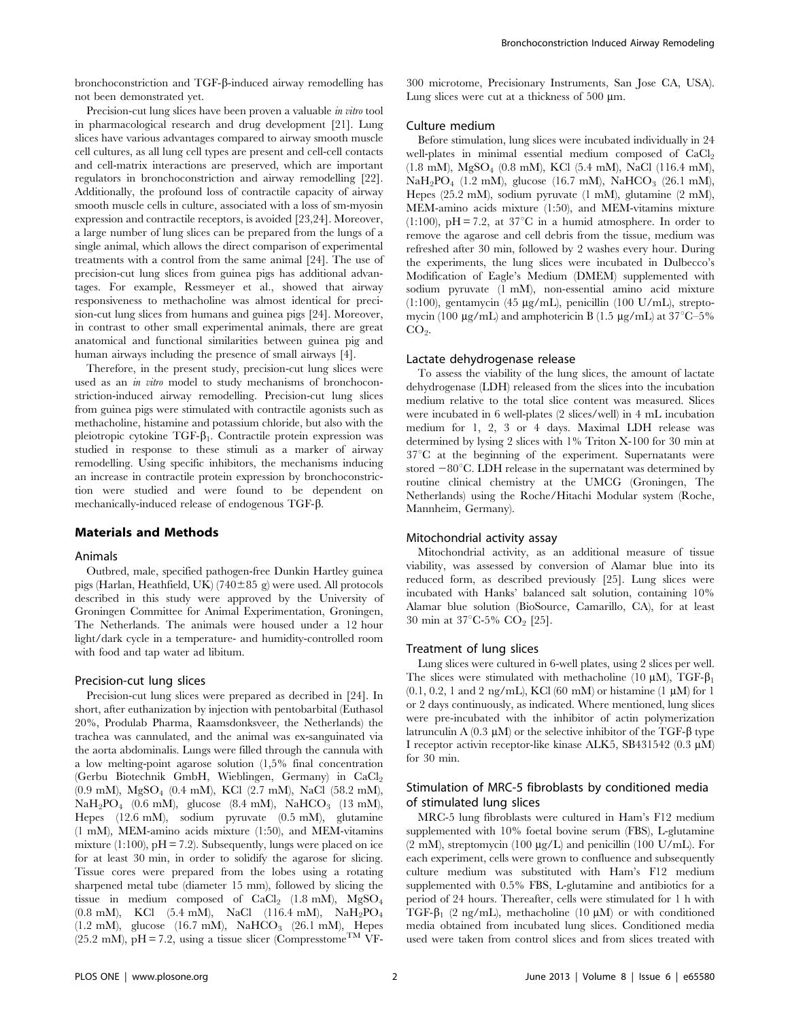bronchoconstriction and TGF-b-induced airway remodelling has not been demonstrated yet.

Precision-cut lung slices have been proven a valuable *in vitro* tool in pharmacological research and drug development [21]. Lung slices have various advantages compared to airway smooth muscle cell cultures, as all lung cell types are present and cell-cell contacts and cell-matrix interactions are preserved, which are important regulators in bronchoconstriction and airway remodelling [22]. Additionally, the profound loss of contractile capacity of airway smooth muscle cells in culture, associated with a loss of sm-myosin expression and contractile receptors, is avoided [23,24]. Moreover, a large number of lung slices can be prepared from the lungs of a single animal, which allows the direct comparison of experimental treatments with a control from the same animal [24]. The use of precision-cut lung slices from guinea pigs has additional advantages. For example, Ressmeyer et al., showed that airway responsiveness to methacholine was almost identical for precision-cut lung slices from humans and guinea pigs [24]. Moreover, in contrast to other small experimental animals, there are great anatomical and functional similarities between guinea pig and human airways including the presence of small airways [4].

Therefore, in the present study, precision-cut lung slices were used as an *in vitro* model to study mechanisms of bronchoconstriction-induced airway remodelling. Precision-cut lung slices from guinea pigs were stimulated with contractile agonists such as methacholine, histamine and potassium chloride, but also with the pleiotropic cytokine TGF- $\beta_1$ . Contractile protein expression was studied in response to these stimuli as a marker of airway remodelling. Using specific inhibitors, the mechanisms inducing an increase in contractile protein expression by bronchoconstriction were studied and were found to be dependent on mechanically-induced release of endogenous TGF-b.

#### Materials and Methods

#### Animals

Outbred, male, specified pathogen-free Dunkin Hartley guinea pigs (Harlan, Heathfield, UK) (740 $\pm$ 85 g) were used. All protocols described in this study were approved by the University of Groningen Committee for Animal Experimentation, Groningen, The Netherlands. The animals were housed under a 12 hour light/dark cycle in a temperature- and humidity-controlled room with food and tap water ad libitum.

#### Precision-cut lung slices

Precision-cut lung slices were prepared as decribed in [24]. In short, after euthanization by injection with pentobarbital (Euthasol 20%, Produlab Pharma, Raamsdonksveer, the Netherlands) the trachea was cannulated, and the animal was ex-sanguinated via the aorta abdominalis. Lungs were filled through the cannula with a low melting-point agarose solution (1,5% final concentration (Gerbu Biotechnik GmbH, Wieblingen, Germany) in CaCl<sub>2</sub> (0.9 mM), MgSO4 (0.4 mM), KCl (2.7 mM), NaCl (58.2 mM),  $NaH<sub>2</sub>PO<sub>4</sub>$  (0.6 mM), glucose (8.4 mM), NaHCO<sub>3</sub> (13 mM), Hepes (12.6 mM), sodium pyruvate (0.5 mM), glutamine (1 mM), MEM-amino acids mixture (1:50), and MEM-vitamins mixture (1:100),  $pH = 7.2$ ). Subsequently, lungs were placed on ice for at least 30 min, in order to solidify the agarose for slicing. Tissue cores were prepared from the lobes using a rotating sharpened metal tube (diameter 15 mm), followed by slicing the tissue in medium composed of  $CaCl<sub>2</sub>$  (1.8 mM),  $MgSO<sub>4</sub>$ (0.8 mM), KCl (5.4 mM), NaCl (116.4 mM), NaH2PO4  $(1.2 \text{ mM})$ , glucose  $(16.7 \text{ mM})$ ,  $\text{NaHCO}_3$   $(26.1 \text{ mM})$ , Hepes (25.2 mM),  $pH = 7.2$ , using a tissue slicer (Compresstome<sup>TM</sup> VF-

300 microtome, Precisionary Instruments, San Jose CA, USA). Lung slices were cut at a thickness of 500  $\mu$ m.

#### Culture medium

Before stimulation, lung slices were incubated individually in 24 well-plates in minimal essential medium composed of CaCl<sub>2</sub> (1.8 mM), MgSO4 (0.8 mM), KCl (5.4 mM), NaCl (116.4 mM),  $NaH<sub>2</sub>PO<sub>4</sub>$  (1.2 mM), glucose (16.7 mM),  $NaHCO<sub>3</sub>$  (26.1 mM), Hepes (25.2 mM), sodium pyruvate (1 mM), glutamine (2 mM), MEM-amino acids mixture (1:50), and MEM-vitamins mixture (1:100),  $pH = 7.2$ , at 37<sup>°</sup>C in a humid atmosphere. In order to remove the agarose and cell debris from the tissue, medium was refreshed after 30 min, followed by 2 washes every hour. During the experiments, the lung slices were incubated in Dulbecco's Modification of Eagle's Medium (DMEM) supplemented with sodium pyruvate (1 mM), non-essential amino acid mixture (1:100), gentamycin (45  $\mu$ g/mL), penicillin (100 U/mL), streptomycin (100  $\mu$ g/mL) and amphotericin B (1.5  $\mu$ g/mL) at 37°C–5% CO<sub>2</sub>.

#### Lactate dehydrogenase release

To assess the viability of the lung slices, the amount of lactate dehydrogenase (LDH) released from the slices into the incubation medium relative to the total slice content was measured. Slices were incubated in 6 well-plates (2 slices/well) in 4 mL incubation medium for 1, 2, 3 or 4 days. Maximal LDH release was determined by lysing 2 slices with 1% Triton X-100 for 30 min at  $37^{\circ}$ C at the beginning of the experiment. Supernatants were stored  $-80^{\circ}$ C. LDH release in the supernatant was determined by routine clinical chemistry at the UMCG (Groningen, The Netherlands) using the Roche/Hitachi Modular system (Roche, Mannheim, Germany).

#### Mitochondrial activity assay

Mitochondrial activity, as an additional measure of tissue viability, was assessed by conversion of Alamar blue into its reduced form, as described previously [25]. Lung slices were incubated with Hanks' balanced salt solution, containing 10% Alamar blue solution (BioSource, Camarillo, CA), for at least 30 min at  $37^{\circ}$ C-5% CO<sub>2</sub> [25].

#### Treatment of lung slices

Lung slices were cultured in 6-well plates, using 2 slices per well. The slices were stimulated with methacholine (10  $\mu$ M), TGF- $\beta_1$  $(0.1, 0.2, 1 \text{ and } 2 \text{ ng/mL})$ , KCl  $(60 \text{ mM})$  or histamine  $(1 \mu M)$  for 1 or 2 days continuously, as indicated. Where mentioned, lung slices were pre-incubated with the inhibitor of actin polymerization latrunculin A  $(0.3 \mu M)$  or the selective inhibitor of the TGF- $\beta$  type I receptor activin receptor-like kinase ALK5, SB431542 (0.3 µM) for 30 min.

## Stimulation of MRC-5 fibroblasts by conditioned media of stimulated lung slices

MRC-5 lung fibroblasts were cultured in Ham's F12 medium supplemented with 10% foetal bovine serum (FBS), L-glutamine (2 mM), streptomycin (100  $\mu$ g/L) and penicillin (100 U/mL). For each experiment, cells were grown to confluence and subsequently culture medium was substituted with Ham's F12 medium supplemented with 0.5% FBS, L-glutamine and antibiotics for a period of 24 hours. Thereafter, cells were stimulated for 1 h with TGF- $\beta_1$  (2 ng/mL), methacholine (10  $\mu$ M) or with conditioned media obtained from incubated lung slices. Conditioned media used were taken from control slices and from slices treated with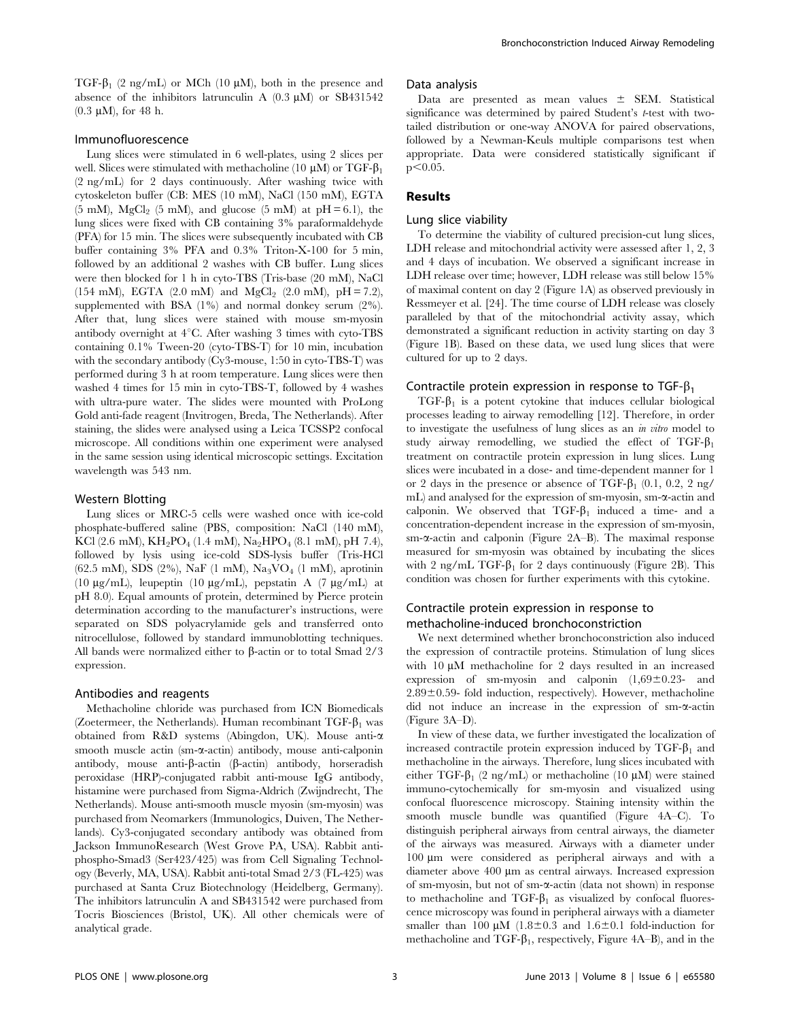TGF- $\beta_1$  (2 ng/mL) or MCh (10  $\mu$ M), both in the presence and absence of the inhibitors latrunculin A  $(0.3 \mu M)$  or SB431542  $(0.3 \mu M)$ , for 48 h.

#### Immunofluorescence

Lung slices were stimulated in 6 well-plates, using 2 slices per well. Slices were stimulated with methacholine (10  $\mu$ M) or TGF- $\beta_1$ (2 ng/mL) for 2 days continuously. After washing twice with cytoskeleton buffer (CB: MES (10 mM), NaCl (150 mM), EGTA (5 mM), MgCl<sub>2</sub> (5 mM), and glucose (5 mM) at  $pH = 6.1$ ), the lung slices were fixed with CB containing 3% paraformaldehyde (PFA) for 15 min. The slices were subsequently incubated with CB buffer containing 3% PFA and 0.3% Triton-X-100 for 5 min, followed by an additional 2 washes with CB buffer. Lung slices were then blocked for 1 h in cyto-TBS (Tris-base (20 mM), NaCl (154 mM), EGTA (2.0 mM) and MgCl<sub>2</sub> (2.0 mM),  $pH = 7.2$ ), supplemented with BSA (1%) and normal donkey serum (2%). After that, lung slices were stained with mouse sm-myosin antibody overnight at  $4^{\circ}$ C. After washing 3 times with cyto-TBS containing 0.1% Tween-20 (cyto-TBS-T) for 10 min, incubation with the secondary antibody (Cy3-mouse, 1:50 in cyto-TBS-T) was performed during 3 h at room temperature. Lung slices were then washed 4 times for 15 min in cyto-TBS-T, followed by 4 washes with ultra-pure water. The slides were mounted with ProLong Gold anti-fade reagent (Invitrogen, Breda, The Netherlands). After staining, the slides were analysed using a Leica TCSSP2 confocal microscope. All conditions within one experiment were analysed in the same session using identical microscopic settings. Excitation wavelength was 543 nm.

### Western Blotting

Lung slices or MRC-5 cells were washed once with ice-cold phosphate-buffered saline (PBS, composition: NaCl (140 mM), KCl (2.6 mM),  $KH_2PO_4$  (1.4 mM), Na<sub>2</sub>HPO<sub>4</sub> (8.1 mM), pH 7.4), followed by lysis using ice-cold SDS-lysis buffer (Tris-HCl (62.5 mM), SDS (2%), NaF (1 mM), Na3VO4 (1 mM), aprotinin (10  $\mu$ g/mL), leupeptin (10  $\mu$ g/mL), pepstatin A (7  $\mu$ g/mL) at pH 8.0). Equal amounts of protein, determined by Pierce protein determination according to the manufacturer's instructions, were separated on SDS polyacrylamide gels and transferred onto nitrocellulose, followed by standard immunoblotting techniques. All bands were normalized either to  $\beta$ -actin or to total Smad 2/3 expression.

#### Antibodies and reagents

Methacholine chloride was purchased from ICN Biomedicals (Zoetermeer, the Netherlands). Human recombinant TGF- $\beta_1$  was obtained from R&D systems (Abingdon, UK). Mouse anti-a smooth muscle actin (sm- $\alpha$ -actin) antibody, mouse anti-calponin antibody, mouse anti- $\beta$ -actin ( $\beta$ -actin) antibody, horseradish peroxidase (HRP)-conjugated rabbit anti-mouse IgG antibody, histamine were purchased from Sigma-Aldrich (Zwijndrecht, The Netherlands). Mouse anti-smooth muscle myosin (sm-myosin) was purchased from Neomarkers (Immunologics, Duiven, The Netherlands). Cy3-conjugated secondary antibody was obtained from Jackson ImmunoResearch (West Grove PA, USA). Rabbit antiphospho-Smad3 (Ser423/425) was from Cell Signaling Technology (Beverly, MA, USA). Rabbit anti-total Smad 2/3 (FL-425) was purchased at Santa Cruz Biotechnology (Heidelberg, Germany). The inhibitors latrunculin A and SB431542 were purchased from Tocris Biosciences (Bristol, UK). All other chemicals were of analytical grade.

#### Data analysis

Data are presented as mean values  $\pm$  SEM. Statistical significance was determined by paired Student's t-test with twotailed distribution or one-way ANOVA for paired observations, followed by a Newman-Keuls multiple comparisons test when appropriate. Data were considered statistically significant if  $p<0.05$ .

### Results

#### Lung slice viability

To determine the viability of cultured precision-cut lung slices, LDH release and mitochondrial activity were assessed after 1, 2, 3 and 4 days of incubation. We observed a significant increase in LDH release over time; however, LDH release was still below 15% of maximal content on day 2 (Figure 1A) as observed previously in Ressmeyer et al. [24]. The time course of LDH release was closely paralleled by that of the mitochondrial activity assay, which demonstrated a significant reduction in activity starting on day 3 (Figure 1B). Based on these data, we used lung slices that were cultured for up to 2 days.

#### Contractile protein expression in response to TGF- $\beta_1$

 $TGF- $\beta_1$  is a potent cytokine that induces cellular biological$ processes leading to airway remodelling [12]. Therefore, in order to investigate the usefulness of lung slices as an in vitro model to study airway remodelling, we studied the effect of  $TGF-\beta_1$ treatment on contractile protein expression in lung slices. Lung slices were incubated in a dose- and time-dependent manner for 1 or 2 days in the presence or absence of TGF- $\beta_1$  (0.1, 0.2, 2 ng/ mL) and analysed for the expression of sm-myosin, sm- $\alpha$ -actin and calponin. We observed that  $TGF- $\beta_1$  induced a time- and a$ concentration-dependent increase in the expression of sm-myosin, sm- $\alpha$ -actin and calponin (Figure 2A–B). The maximal response measured for sm-myosin was obtained by incubating the slices with 2 ng/mL TGF- $\beta_1$  for 2 days continuously (Figure 2B). This condition was chosen for further experiments with this cytokine.

## Contractile protein expression in response to methacholine-induced bronchoconstriction

We next determined whether bronchoconstriction also induced the expression of contractile proteins. Stimulation of lung slices with  $10 \mu M$  methacholine for 2 days resulted in an increased expression of sm-myosin and calponin  $(1,69\pm0.23-$  and  $2.89\pm0.59$ - fold induction, respectively). However, methacholine did not induce an increase in the expression of sm- $\alpha$ -actin (Figure 3A–D).

In view of these data, we further investigated the localization of increased contractile protein expression induced by  $TGF-\beta_1$  and methacholine in the airways. Therefore, lung slices incubated with either TGF- $\beta_1$  (2 ng/mL) or methacholine (10 µM) were stained immuno-cytochemically for sm-myosin and visualized using confocal fluorescence microscopy. Staining intensity within the smooth muscle bundle was quantified (Figure 4A–C). To distinguish peripheral airways from central airways, the diameter of the airways was measured. Airways with a diameter under 100 mm were considered as peripheral airways and with a diameter above 400 µm as central airways. Increased expression of sm-myosin, but not of sm-a-actin (data not shown) in response to methacholine and TGF- $\beta_1$  as visualized by confocal fluorescence microscopy was found in peripheral airways with a diameter smaller than 100  $\mu$ M (1.8±0.3 and 1.6±0.1 fold-induction for methacholine and TGF- $\beta_1$ , respectively, Figure 4A–B), and in the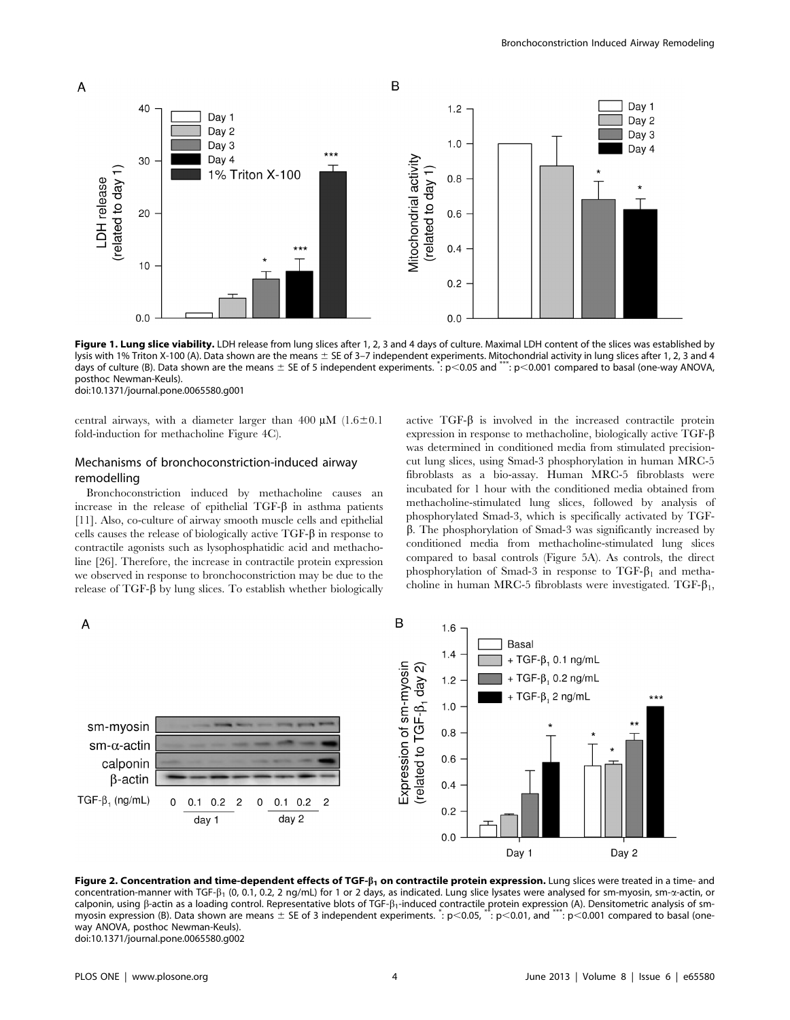

Figure 1. Lung slice viability. LDH release from lung slices after 1, 2, 3 and 4 days of culture. Maximal LDH content of the slices was established by lysis with 1% Triton X-100 (A). Data shown are the means ± SE of 3-7 independent experiments. Mitochondrial activity in lung slices after 1, 2, 3 and 4 days of culture (B). Data shown are the means  $\pm$  SE of 5 independent experiments.  $\dot{ }$ : p<0.05 and \*\*\*: p<0.001 compared to basal (one-way ANOVA, posthoc Newman-Keuls). doi:10.1371/journal.pone.0065580.g001

central airways, with a diameter larger than 400  $\mu$ M (1.6 $\pm$ 0.1) fold-induction for methacholine Figure 4C).

## Mechanisms of bronchoconstriction-induced airway remodelling

Bronchoconstriction induced by methacholine causes an increase in the release of epithelial  $TGF- $\beta$  in asthma patients$ [11]. Also, co-culture of airway smooth muscle cells and epithelial cells causes the release of biologically active  $TGF-\beta$  in response to contractile agonists such as lysophosphatidic acid and methacholine [26]. Therefore, the increase in contractile protein expression we observed in response to bronchoconstriction may be due to the release of  $TGF-\beta$  by lung slices. To establish whether biologically active  $TGF-\beta$  is involved in the increased contractile protein expression in response to methacholine, biologically active TGF- $\beta$ was determined in conditioned media from stimulated precisioncut lung slices, using Smad-3 phosphorylation in human MRC-5 fibroblasts as a bio-assay. Human MRC-5 fibroblasts were incubated for 1 hour with the conditioned media obtained from methacholine-stimulated lung slices, followed by analysis of phosphorylated Smad-3, which is specifically activated by TGF- $\beta$ . The phosphorylation of Smad-3 was significantly increased by conditioned media from methacholine-stimulated lung slices compared to basal controls (Figure 5A). As controls, the direct phosphorylation of Smad-3 in response to  $TGF-\beta_1$  and methacholine in human MRC-5 fibroblasts were investigated. TGF- $\beta_1$ ,



Figure 2. Concentration and time-dependent effects of TGF- $\beta_1$  on contractile protein expression. Lung slices were treated in a time- and concentration-manner with TGF- $\beta_1$  (0, 0.1, 0.2, 2 ng/mL) for 1 or 2 days, as indicated. Lung slice lysates were analysed for sm-myosin, sm- $\alpha$ -actin, or calponin, using  $\beta$ -actin as a loading control. Representative blots of TGF- $\beta_1$ -induced contractile protein expression (A). Densitometric analysis of smmyosin expression (B). Data shown are means  $\pm$  SE of 3 independent experiments.  $\therefore$  p $<$ 0.05,  $\arctan$ ,  $=$   $<$ 0.01, and  $\arctan$ ,  $=$   $\pm$   $>$ way ANOVA, posthoc Newman-Keuls). doi:10.1371/journal.pone.0065580.g002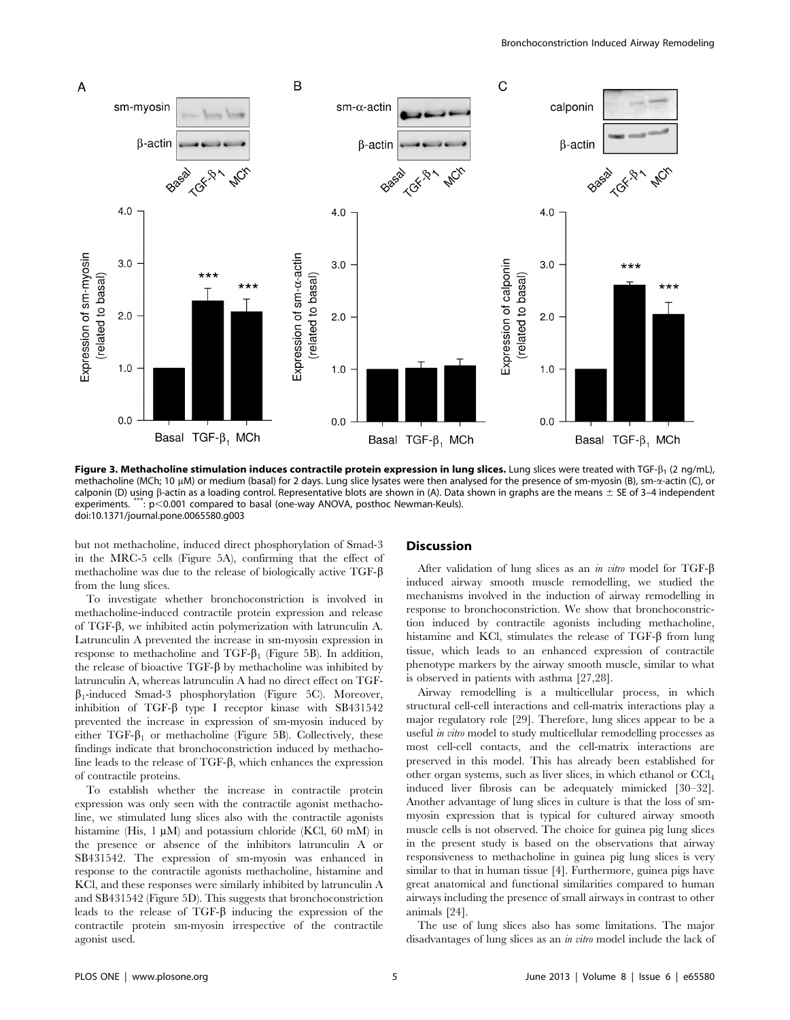

Figure 3. Methacholine stimulation induces contractile protein expression in lung slices. Lung slices were treated with TGF- $\beta_1$  (2 ng/mL), methacholine (MCh; 10  $\mu$ M) or medium (basal) for 2 days. Lung slice lysates were then analysed for the presence of sm-myosin (B), sm- $\alpha$ -actin (C), or calponin (D) using  $\beta$ -actin as a loading control. Representative blots are shown in (A). Data shown in graphs are the means  $\pm$  SE of 3–4 independent experiments. \*\*\*: p<0.001 compared to basal (one-way ANOVA, posthoc Newman-Keuls). doi:10.1371/journal.pone.0065580.g003

but not methacholine, induced direct phosphorylation of Smad-3 in the MRC-5 cells (Figure 5A), confirming that the effect of methacholine was due to the release of biologically active TGF-b from the lung slices.

To investigate whether bronchoconstriction is involved in methacholine-induced contractile protein expression and release of TGF- $\beta$ , we inhibited actin polymerization with latrunculin A. Latrunculin A prevented the increase in sm-myosin expression in response to methacholine and TGF- $\beta_1$  (Figure 5B). In addition, the release of bioactive  $TGF-\beta$  by methacholine was inhibited by latrunculin A, whereas latrunculin A had no direct effect on TGF- $\beta_1$ -induced Smad-3 phosphorylation (Figure 5C). Moreover, inhibition of TGF- $\beta$  type I receptor kinase with SB431542 prevented the increase in expression of sm-myosin induced by either TGF- $\beta_1$  or methacholine (Figure 5B). Collectively, these findings indicate that bronchoconstriction induced by methacholine leads to the release of TGF-b, which enhances the expression of contractile proteins.

To establish whether the increase in contractile protein expression was only seen with the contractile agonist methacholine, we stimulated lung slices also with the contractile agonists histamine (His, 1  $\mu$ M) and potassium chloride (KCl, 60 mM) in the presence or absence of the inhibitors latrunculin A or SB431542. The expression of sm-myosin was enhanced in response to the contractile agonists methacholine, histamine and KCl, and these responses were similarly inhibited by latrunculin A and SB431542 (Figure 5D). This suggests that bronchoconstriction leads to the release of  $TGF- $\beta$  inducing the expression of the$ contractile protein sm-myosin irrespective of the contractile agonist used.

#### Discussion

After validation of lung slices as an in vitro model for TGF- $\beta$ induced airway smooth muscle remodelling, we studied the mechanisms involved in the induction of airway remodelling in response to bronchoconstriction. We show that bronchoconstriction induced by contractile agonists including methacholine, histamine and KCl, stimulates the release of  $TGF- $\beta$  from lung$ tissue, which leads to an enhanced expression of contractile phenotype markers by the airway smooth muscle, similar to what is observed in patients with asthma [27,28].

Airway remodelling is a multicellular process, in which structural cell-cell interactions and cell-matrix interactions play a major regulatory role [29]. Therefore, lung slices appear to be a useful in vitro model to study multicellular remodelling processes as most cell-cell contacts, and the cell-matrix interactions are preserved in this model. This has already been established for other organ systems, such as liver slices, in which ethanol or CCl4 induced liver fibrosis can be adequately mimicked [30–32]. Another advantage of lung slices in culture is that the loss of smmyosin expression that is typical for cultured airway smooth muscle cells is not observed. The choice for guinea pig lung slices in the present study is based on the observations that airway responsiveness to methacholine in guinea pig lung slices is very similar to that in human tissue [4]. Furthermore, guinea pigs have great anatomical and functional similarities compared to human airways including the presence of small airways in contrast to other animals [24].

The use of lung slices also has some limitations. The major disadvantages of lung slices as an in vitro model include the lack of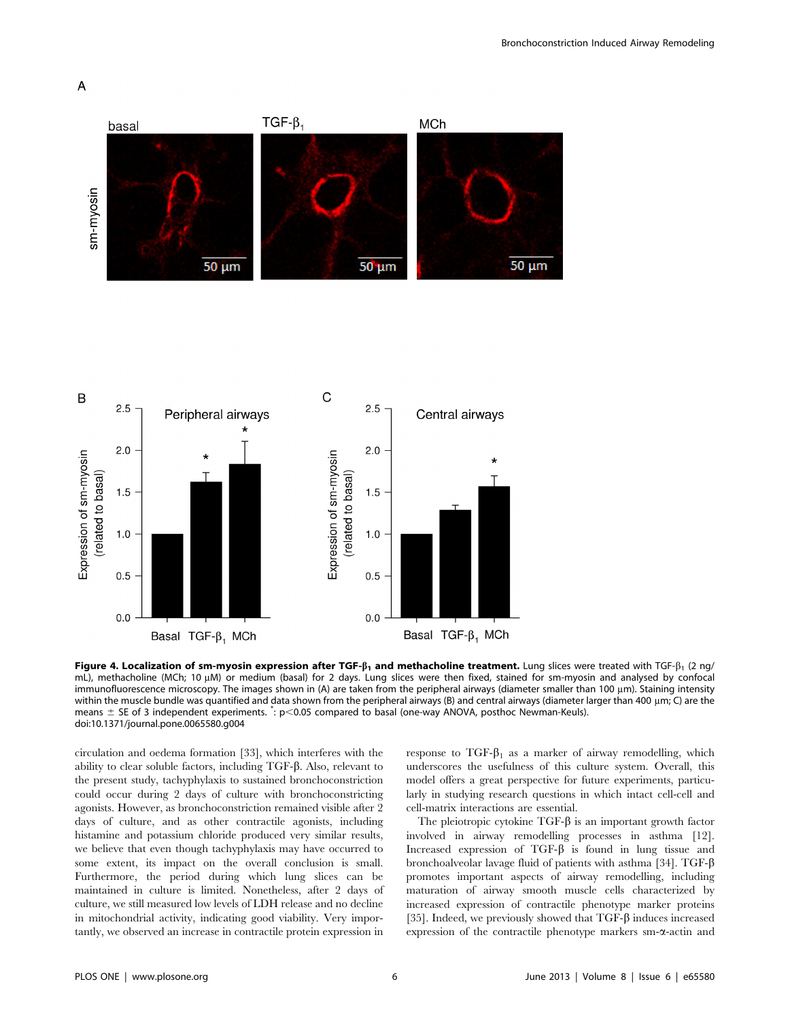





Figure 4. Localization of sm-myosin expression after TGF- $\beta_1$  and methacholine treatment. Lung slices were treated with TGF- $\beta_1$  (2 ng/ mL), methacholine (MCh; 10 uM) or medium (basal) for 2 days. Lung slices were then fixed, stained for sm-myosin and analysed by confocal immunofluorescence microscopy. The images shown in (A) are taken from the peripheral airways (diameter smaller than 100 µm). Staining intensity within the muscle bundle was quantified and data shown from the peripheral airways (B) and central airways (diameter larger than 400 µm; C) are the means  $\pm$  SE of 3 independent experiments.  $\cdot : p \le 0.05$  compared to basal (one-way ANOVA, posthoc Newman-Keuls). doi:10.1371/journal.pone.0065580.g004

circulation and oedema formation [33], which interferes with the ability to clear soluble factors, including TGF-b. Also, relevant to the present study, tachyphylaxis to sustained bronchoconstriction could occur during 2 days of culture with bronchoconstricting agonists. However, as bronchoconstriction remained visible after 2 days of culture, and as other contractile agonists, including histamine and potassium chloride produced very similar results, we believe that even though tachyphylaxis may have occurred to some extent, its impact on the overall conclusion is small. Furthermore, the period during which lung slices can be maintained in culture is limited. Nonetheless, after 2 days of culture, we still measured low levels of LDH release and no decline in mitochondrial activity, indicating good viability. Very importantly, we observed an increase in contractile protein expression in

response to  $TGF-\beta_1$  as a marker of airway remodelling, which underscores the usefulness of this culture system. Overall, this model offers a great perspective for future experiments, particularly in studying research questions in which intact cell-cell and cell-matrix interactions are essential.

The pleiotropic cytokine  $TGF-\beta$  is an important growth factor involved in airway remodelling processes in asthma [12]. Increased expression of  $TGF- $\beta$  is found in lung tissue and$ bronchoalveolar lavage fluid of patients with asthma [34]. TGF- $\beta$ promotes important aspects of airway remodelling, including maturation of airway smooth muscle cells characterized by increased expression of contractile phenotype marker proteins [35]. Indeed, we previously showed that TGF- $\beta$  induces increased expression of the contractile phenotype markers sm- $\alpha$ -actin and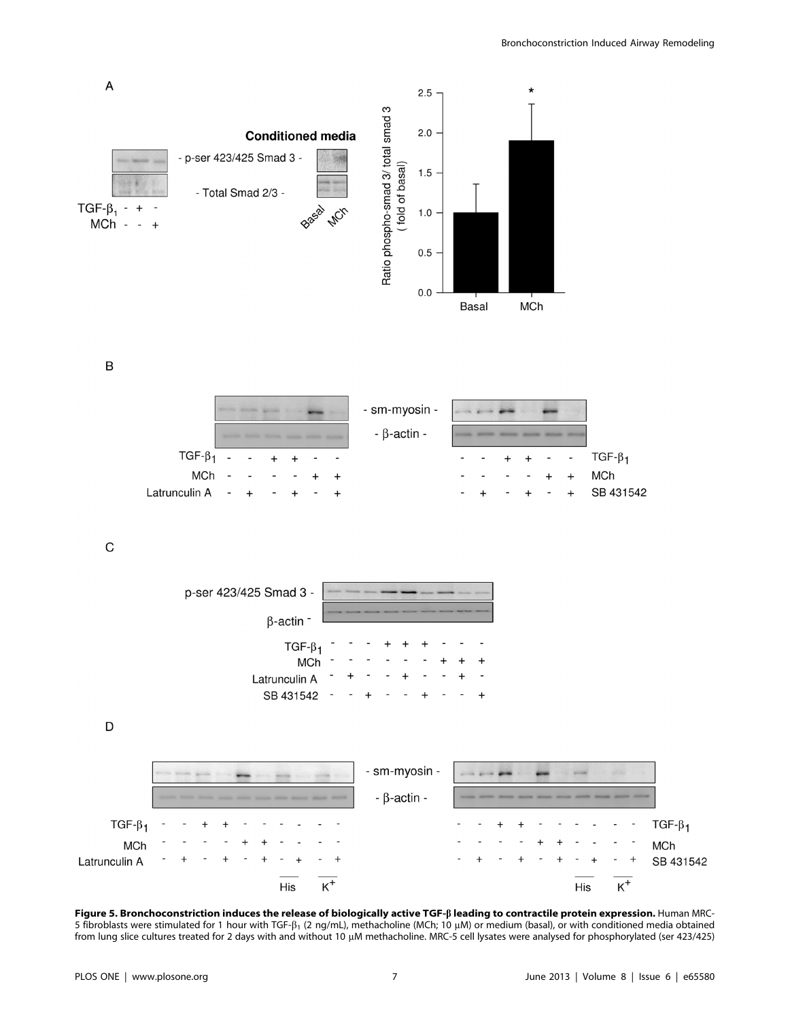

Figure 5. Bronchoconstriction induces the release of biologically active TGF-ß leading to contractile protein expression. Human MRC-5 fibroblasts were stimulated for 1 hour with TGF- $\beta_1$  (2 ng/mL), methacholine (MCh; 10  $\mu$ M) or medium (basal), or with conditioned media obtained from lung slice cultures treated for 2 days with and without 10 µM methacholine. MRC-5 cell lysates were analysed for phosphorylated (ser 423/425)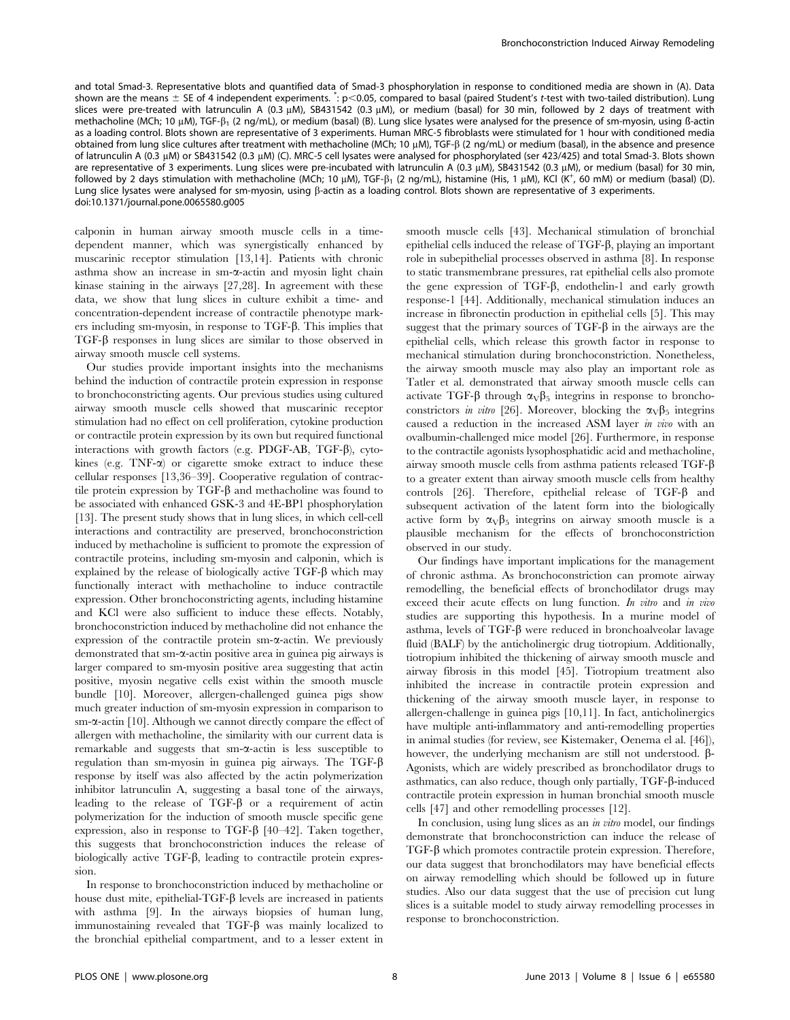and total Smad-3. Representative blots and quantified data of Smad-3 phosphorylation in response to conditioned media are shown in (A). Data shown are the means  $\pm$  SE of 4 independent experiments.  $\cdot$ : p<0.05, compared to basal (paired Student's t-test with two-tailed distribution). Lung slices were pre-treated with latrunculin A (0.3  $\mu$ M), SB431542 (0.3  $\mu$ M), or medium (basal) for 30 min, followed by 2 days of treatment with methacholine (MCh; 10  $\mu$ M), TGF- $\beta_1$  (2 ng/mL), or medium (basal) (B). Lung slice lysates were analysed for the presence of sm-myosin, using ß-actin as a loading control. Blots shown are representative of 3 experiments. Human MRC-5 fibroblasts were stimulated for 1 hour with conditioned media obtained from lung slice cultures after treatment with methacholine (MCh; 10 μM), TGF-β (2 ng/mL) or medium (basal), in the absence and presence of latrunculin A (0.3 µM) or SB431542 (0.3 µM) (C). MRC-5 cell lysates were analysed for phosphorylated (ser 423/425) and total Smad-3. Blots shown are representative of 3 experiments. Lung slices were pre-incubated with latrunculin A (0.3 µM), SB431542 (0.3 µM), or medium (basal) for 30 min, followed by 2 days stimulation with methacholine (MCh; 10  $\mu$ M), TGF- $\beta_1$  (2 ng/mL), histamine (His, 1  $\mu$ M), KCl (K<sup>+</sup>, 60 mM) or medium (basal) (D). Lung slice lysates were analysed for sm-myosin, using  $\beta$ -actin as a loading control. Blots shown are representative of 3 experiments. doi:10.1371/journal.pone.0065580.g005

calponin in human airway smooth muscle cells in a timedependent manner, which was synergistically enhanced by muscarinic receptor stimulation [13,14]. Patients with chronic asthma show an increase in sm- $\alpha$ -actin and myosin light chain kinase staining in the airways [27,28]. In agreement with these data, we show that lung slices in culture exhibit a time- and concentration-dependent increase of contractile phenotype markers including sm-myosin, in response to TGF-b. This implies that TGF-b responses in lung slices are similar to those observed in airway smooth muscle cell systems.

Our studies provide important insights into the mechanisms behind the induction of contractile protein expression in response to bronchoconstricting agents. Our previous studies using cultured airway smooth muscle cells showed that muscarinic receptor stimulation had no effect on cell proliferation, cytokine production or contractile protein expression by its own but required functional interactions with growth factors (e.g. PDGF-AB, TGF- $\beta$ ), cytokines (e.g. TNF- $\alpha$ ) or cigarette smoke extract to induce these cellular responses [13,36–39]. Cooperative regulation of contractile protein expression by  $TGF-\beta$  and methacholine was found to be associated with enhanced GSK-3 and 4E-BP1 phosphorylation [13]. The present study shows that in lung slices, in which cell-cell interactions and contractility are preserved, bronchoconstriction induced by methacholine is sufficient to promote the expression of contractile proteins, including sm-myosin and calponin, which is explained by the release of biologically active  $TGF-\beta$  which may functionally interact with methacholine to induce contractile expression. Other bronchoconstricting agents, including histamine and KCl were also sufficient to induce these effects. Notably, bronchoconstriction induced by methacholine did not enhance the expression of the contractile protein  $sm-\alpha$ -actin. We previously demonstrated that sm- $\alpha$ -actin positive area in guinea pig airways is larger compared to sm-myosin positive area suggesting that actin positive, myosin negative cells exist within the smooth muscle bundle [10]. Moreover, allergen-challenged guinea pigs show much greater induction of sm-myosin expression in comparison to  $sm-\alpha$ -actin [10]. Although we cannot directly compare the effect of allergen with methacholine, the similarity with our current data is remarkable and suggests that  $sm-\alpha$ -actin is less susceptible to regulation than sm-myosin in guinea pig airways. The TGF- $\beta$ response by itself was also affected by the actin polymerization inhibitor latrunculin A, suggesting a basal tone of the airways, leading to the release of  $TGF- $\beta$  or a requirement of actin$ polymerization for the induction of smooth muscle specific gene expression, also in response to TGF- $\beta$  [40–42]. Taken together, this suggests that bronchoconstriction induces the release of biologically active TGF- $\beta$ , leading to contractile protein expression.

In response to bronchoconstriction induced by methacholine or house dust mite, epithelial-TGF- $\beta$  levels are increased in patients with asthma [9]. In the airways biopsies of human lung, immunostaining revealed that TGF- $\beta$  was mainly localized to the bronchial epithelial compartment, and to a lesser extent in smooth muscle cells [43]. Mechanical stimulation of bronchial epithelial cells induced the release of  $TGF- $\beta$ , playing an important$ role in subepithelial processes observed in asthma [8]. In response to static transmembrane pressures, rat epithelial cells also promote the gene expression of TGF-b, endothelin-1 and early growth response-1 [44]. Additionally, mechanical stimulation induces an increase in fibronectin production in epithelial cells [5]. This may suggest that the primary sources of  $TGF- $\beta$  in the airways are the$ epithelial cells, which release this growth factor in response to mechanical stimulation during bronchoconstriction. Nonetheless, the airway smooth muscle may also play an important role as Tatler et al. demonstrated that airway smooth muscle cells can activate TGF- $\beta$  through  $\alpha_V\beta_5$  integrins in response to bronchoconstrictors in vitro [26]. Moreover, blocking the  $\alpha_V\beta_5$  integrins caused a reduction in the increased ASM layer in vivo with an ovalbumin-challenged mice model [26]. Furthermore, in response to the contractile agonists lysophosphatidic acid and methacholine, airway smooth muscle cells from asthma patients released TGF- $\beta$ to a greater extent than airway smooth muscle cells from healthy controls [26]. Therefore, epithelial release of  $TGF- $\beta$  and$ subsequent activation of the latent form into the biologically active form by  $\alpha_V\beta_5$  integrins on airway smooth muscle is a plausible mechanism for the effects of bronchoconstriction observed in our study.

Our findings have important implications for the management of chronic asthma. As bronchoconstriction can promote airway remodelling, the beneficial effects of bronchodilator drugs may exceed their acute effects on lung function. In vitro and in vivo studies are supporting this hypothesis. In a murine model of asthma, levels of  $TGF-\beta$  were reduced in bronchoalveolar lavage fluid (BALF) by the anticholinergic drug tiotropium. Additionally, tiotropium inhibited the thickening of airway smooth muscle and airway fibrosis in this model [45]. Tiotropium treatment also inhibited the increase in contractile protein expression and thickening of the airway smooth muscle layer, in response to allergen-challenge in guinea pigs [10,11]. In fact, anticholinergics have multiple anti-inflammatory and anti-remodelling properties in animal studies (for review, see Kistemaker, Oenema el al. [46]), however, the underlying mechanism are still not understood.  $\beta$ -Agonists, which are widely prescribed as bronchodilator drugs to asthmatics, can also reduce, though only partially, TGF- $\beta$ -induced contractile protein expression in human bronchial smooth muscle cells [47] and other remodelling processes [12].

In conclusion, using lung slices as an *in vitro* model, our findings demonstrate that bronchoconstriction can induce the release of  $TGF-\beta$  which promotes contractile protein expression. Therefore, our data suggest that bronchodilators may have beneficial effects on airway remodelling which should be followed up in future studies. Also our data suggest that the use of precision cut lung slices is a suitable model to study airway remodelling processes in response to bronchoconstriction.